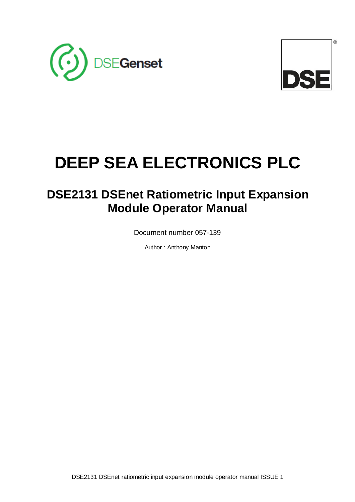



# **DEEP SEA ELECTRONICS PLC**

## **DSE2131 DSEnet Ratiometric Input Expansion Module Operator Manual**

Document number 057-139

Author : Anthony Manton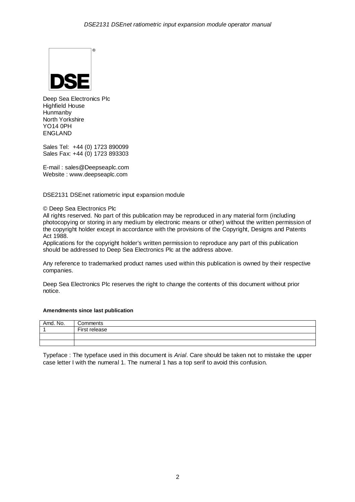

Deep Sea Electronics Plc Highfield House Hunmanby North Yorkshire YO14 0PH ENGLAND

Sales Tel: +44 (0) 1723 890099 Sales Fax: +44 (0) 1723 893303

E-mail : sales@Deepseaplc.com Website : www.deepseaplc.com

DSE2131 DSEnet ratiometric input expansion module

© Deep Sea Electronics Plc

All rights reserved. No part of this publication may be reproduced in any material form (including photocopying or storing in any medium by electronic means or other) without the written permission of the copyright holder except in accordance with the provisions of the Copyright, Designs and Patents Act 1988.

Applications for the copyright holder's written permission to reproduce any part of this publication should be addressed to Deep Sea Electronics Plc at the address above.

Any reference to trademarked product names used within this publication is owned by their respective companies.

Deep Sea Electronics Plc reserves the right to change the contents of this document without prior notice.

#### **Amendments since last publication**

| Amd. No. | Comments      |
|----------|---------------|
|          | First release |
|          |               |
|          |               |

Typeface : The typeface used in this document is Arial. Care should be taken not to mistake the upper case letter I with the numeral 1. The numeral 1 has a top serif to avoid this confusion.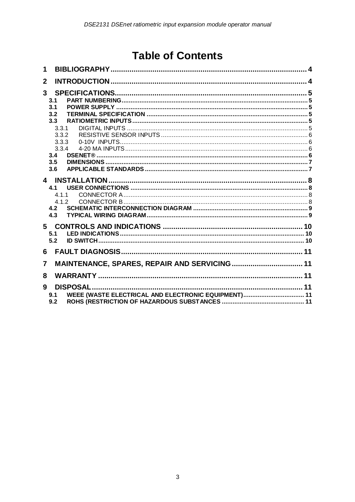## **Table of Contents**

| 1              |                                                                   |  |
|----------------|-------------------------------------------------------------------|--|
| $\mathbf{2}$   |                                                                   |  |
| 3 <sup>1</sup> | 3.1                                                               |  |
|                | 3.1<br>3.2                                                        |  |
|                | 3.3                                                               |  |
|                | 3.3.1                                                             |  |
|                | 3.3.2                                                             |  |
|                | 3.3.3                                                             |  |
|                | 3.3.4                                                             |  |
|                | 3.4                                                               |  |
|                | 3.5                                                               |  |
|                | 3.6                                                               |  |
|                |                                                                   |  |
|                | 4.1                                                               |  |
|                | 4.1.1                                                             |  |
|                | 412                                                               |  |
|                | 4.2<br>4.3                                                        |  |
|                |                                                                   |  |
|                | 5                                                                 |  |
|                | 5.1                                                               |  |
|                | 5.2                                                               |  |
| 6              |                                                                   |  |
| 7              |                                                                   |  |
| 8              |                                                                   |  |
|                |                                                                   |  |
| 9              |                                                                   |  |
|                | WEEE (WASTE ELECTRICAL AND ELECTRONIC EQUIPMENT) 11<br>9.1<br>9.2 |  |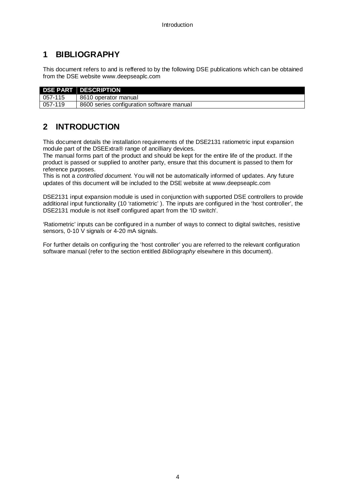## **1 BIBLIOGRAPHY**

This document refers to and is reffered to by the following DSE publications which can be obtained from the DSE website www.deepseaplc.com

|         | <b>DSE PART DESCRIPTION</b>               |
|---------|-------------------------------------------|
| 057-115 | 8610 operator manual                      |
| 057-119 | 8600 series configuration software manual |

## **2 INTRODUCTION**

This document details the installation requirements of the DSE2131 ratiometric input expansion module part of the DSEExtra® range of ancilliary devices.

The manual forms part of the product and should be kept for the entire life of the product. If the product is passed or supplied to another party, ensure that this document is passed to them for reference purposes.

This is not a controlled document. You will not be automatically informed of updates. Any future updates of this document will be included to the DSE website at www.deepseaplc.com

DSE2131 input expansion module is used in conjunction with supported DSE controllers to provide additional input functionality (10 'ratiometric' ). The inputs are configured in the 'host controller', the DSE2131 module is not itself configured apart from the 'ID switch'.

'Ratiometric' inputs can be configured in a number of ways to connect to digital switches, resistive sensors, 0-10 V signals or 4-20 mA signals.

For further details on configuring the 'host controller' you are referred to the relevant configuration software manual (refer to the section entitled Bibliography elsewhere in this document).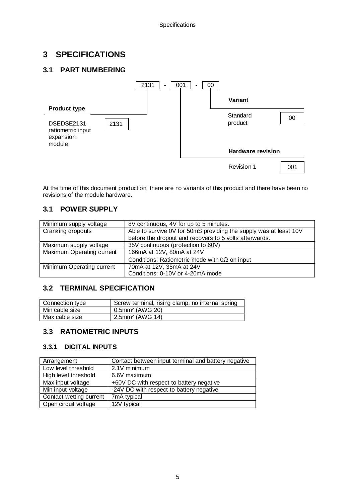## **3 SPECIFICATIONS**

### **3.1 PART NUMBERING**



At the time of this document production, there are no variants of this product and there have been no revisions of the module hardware.

### **3.1 POWER SUPPLY**

| Minimum supply voltage    | 8V continuous, 4V for up to 5 minutes.                            |
|---------------------------|-------------------------------------------------------------------|
| Cranking dropouts         | Able to survive 0V for 50mS providing the supply was at least 10V |
|                           | before the dropout and recovers to 5 volts afterwards.            |
| Maximum supply voltage    | 35V continuous (protection to 60V)                                |
| Maximum Operating current | 166mA at 12V, 80mA at 24V                                         |
|                           | Conditions: Ratiometric mode with $0\Omega$ on input              |
| Minimum Operating current | 70mA at 12V, 35mA at 24V                                          |
|                           | Conditions: 0-10V or 4-20mA mode                                  |

#### **3.2 TERMINAL SPECIFICATION**

| Connection type | Screw terminal, rising clamp, no internal spring |
|-----------------|--------------------------------------------------|
| Min cable size  | 0.5mm <sup>2</sup> (AWG 20)                      |
| Max cable size  | 2.5mm <sup>2</sup> (AWG 14)                      |

#### **3.3 RATIOMETRIC INPUTS**

#### **3.3.1 DIGITAL INPUTS**

| Arrangement             | Contact between input terminal and battery negative |
|-------------------------|-----------------------------------------------------|
| Low level threshold     | 2.1V minimum                                        |
| High level threshold    | 6.6V maximum                                        |
| Max input voltage       | +60V DC with respect to battery negative            |
| Min input voltage       | -24V DC with respect to battery negative            |
| Contact wetting current | 7mA typical                                         |
| Open circuit voltage    | 12V typical                                         |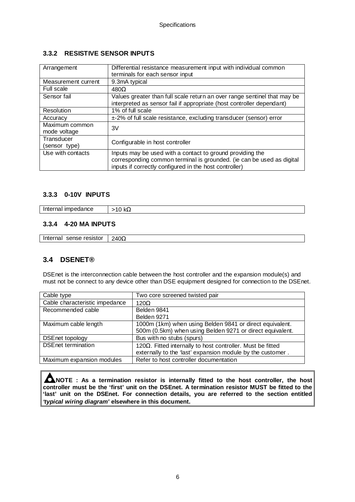#### **3.3.2 RESISTIVE SENSOR INPUTS**

| Arrangement                    | Differential resistance measurement input with individual common<br>terminals for each sensor input                                                                                          |
|--------------------------------|----------------------------------------------------------------------------------------------------------------------------------------------------------------------------------------------|
| Measurement current            | 9.3mA typical                                                                                                                                                                                |
| Full scale                     | $480\Omega$                                                                                                                                                                                  |
| Sensor fail                    | Values greater than full scale return an over range sentinel that may be<br>interpreted as sensor fail if appropriate (host controller dependant)                                            |
| Resolution                     | 1% of full scale                                                                                                                                                                             |
| Accuracy                       | ±-2% of full scale resistance, excluding transducer (sensor) error                                                                                                                           |
| Maximum common<br>mode voltage | 3V                                                                                                                                                                                           |
| Transducer<br>(sensor type)    | Configurable in host controller                                                                                                                                                              |
| Use with contacts              | Inputs may be used with a contact to ground providing the<br>corresponding common terminal is grounded. (ie can be used as digital<br>inputs if correctly configured in the host controller) |

#### **3.3.3 0-10V INPUTS**

Internal impedance  $\vert$  >10 kΩ

#### **3.3.4 4-20 MA INPUTS**

Internal sense resistor | 240 $\Omega$ 

#### **3.4 DSENET®**

DSEnet is the interconnection cable between the host controller and the expansion module(s) and must not be connect to any device other than DSE equipment designed for connection to the DSEnet.

| Cable type                     | Two core screened twisted pair                                      |
|--------------------------------|---------------------------------------------------------------------|
| Cable characteristic impedance | $120\Omega$                                                         |
| Recommended cable              | Belden 9841                                                         |
|                                | Belden 9271                                                         |
| Maximum cable length           | 1000m (1km) when using Belden 9841 or direct equivalent.            |
|                                | 500m (0.5km) when using Belden 9271 or direct equivalent.           |
| <b>DSEnet topology</b>         | Bus with no stubs (spurs)                                           |
| <b>DSEnet termination</b>      | 120 $\Omega$ . Fitted internally to host controller. Must be fitted |
|                                | externally to the 'last' expansion module by the customer.          |
| Maximum expansion modules      | Refer to host controller documentation                              |

**NOTE : As a termination resistor is internally fitted to the host controller, the host controller must be the 'first' unit on the DSEnet. A termination resistor MUST be fitted to the 'last' unit on the DSEnet. For connection details, you are referred to the section entitled 'typical wiring diagram' elsewhere in this document.**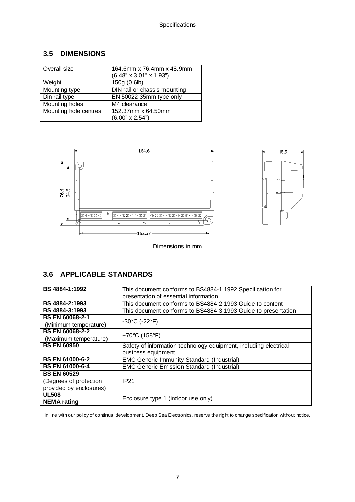### **3.5 DIMENSIONS**

| Overall size          | 164.6mm x 76.4mm x 48.9mm           |  |
|-----------------------|-------------------------------------|--|
|                       | $(6.48" \times 3.01" \times 1.93")$ |  |
| Weight                | 150g(0.6b)                          |  |
| Mounting type         | DIN rail or chassis mounting        |  |
| Din rail type         | EN 50022 35mm type only             |  |
| Mounting holes        | M4 clearance                        |  |
| Mounting hole centres | 152.37mm x 64.50mm                  |  |
|                       | $(6.00" \times 2.54")$              |  |



Dimensions in mm

 $48.9$ 

qщи

## **3.6 APPLICABLE STANDARDS**

| BS 4884-1:1992          | This document conforms to BS4884-1 1992 Specification for        |  |
|-------------------------|------------------------------------------------------------------|--|
|                         | presentation of essential information.                           |  |
| BS 4884-2:1993          | This document conforms to BS4884-2 1993 Guide to content         |  |
| BS 4884-3:1993          | This document conforms to BS4884-3 1993 Guide to presentation    |  |
| <b>BS EN 60068-2-1</b>  | $-30^{\circ}$ C (-22 $^{\circ}$ F)                               |  |
| (Minimum temperature)   |                                                                  |  |
| <b>BS EN 60068-2-2</b>  | +70 $\degree$ C (158 $\degree$ F)                                |  |
| (Maximum temperature)   |                                                                  |  |
| <b>BS EN 60950</b>      | Safety of information technology equipment, including electrical |  |
|                         | business equipment                                               |  |
| <b>BS EN 61000-6-2</b>  | <b>EMC Generic Immunity Standard (Industrial)</b>                |  |
| <b>BS EN 61000-6-4</b>  | <b>EMC Generic Emission Standard (Industrial)</b>                |  |
| <b>BS EN 60529</b>      |                                                                  |  |
| (Degrees of protection  | IP <sub>21</sub>                                                 |  |
| provided by enclosures) |                                                                  |  |
| <b>UL508</b>            |                                                                  |  |
| <b>NEMA</b> rating      | Enclosure type 1 (indoor use only)                               |  |

In line with our policy of continual development, Deep Sea Electronics, reserve the right to change specification without notice.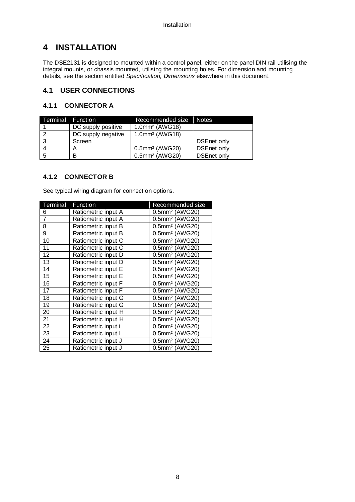## **4 INSTALLATION**

The DSE2131 is designed to mounted within a control panel, either on the panel DIN rail utilising the integral mounts, or chassis mounted, utilising the mounting holes. For dimension and mounting details, see the section entitled Specification, Dimensions elsewhere in this document.

#### **4.1 USER CONNECTIONS**

#### **4.1.1 CONNECTOR A**

| Terminal Function |                    | Recommended size              | <b>Notes</b>       |
|-------------------|--------------------|-------------------------------|--------------------|
|                   | DC supply positive | $1.0$ mm <sup>2</sup> (AWG18) |                    |
|                   | DC supply negative | $1.0$ mm <sup>2</sup> (AWG18) |                    |
|                   | Screen             |                               | DSEnet only        |
|                   |                    | $0.5$ mm <sup>2</sup> (AWG20) | <b>DSEnet only</b> |
|                   |                    | 0.5mm <sup>2</sup> (AWG20)    | <b>DSEnet only</b> |

#### **4.1.2 CONNECTOR B**

See typical wiring diagram for connection options.

| Terminal        | Function            | Recommended size           |
|-----------------|---------------------|----------------------------|
| 6               | Ratiometric input A | 0.5mm <sup>2</sup> (AWG20) |
| $\overline{7}$  | Ratiometric input A | 0.5mm <sup>2</sup> (AWG20) |
| 8               | Ratiometric input B | 0.5mm <sup>2</sup> (AWG20) |
| 9               | Ratiometric input B | 0.5mm <sup>2</sup> (AWG20) |
| 10              | Ratiometric input C | 0.5mm <sup>2</sup> (AWG20) |
| 11              | Ratiometric input C | 0.5mm <sup>2</sup> (AWG20) |
| 12              | Ratiometric input D | 0.5mm <sup>2</sup> (AWG20) |
| 13              | Ratiometric input D | 0.5mm <sup>2</sup> (AWG20) |
| 14              | Ratiometric input E | 0.5mm <sup>2</sup> (AWG20) |
| $\overline{15}$ | Ratiometric input E | 0.5mm <sup>2</sup> (AWG20) |
| 16              | Ratiometric input F | 0.5mm <sup>2</sup> (AWG20) |
| 17              | Ratiometric input F | 0.5mm <sup>2</sup> (AWG20) |
| $\overline{18}$ | Ratiometric input G | 0.5mm <sup>2</sup> (AWG20) |
| 19              | Ratiometric input G | 0.5mm <sup>2</sup> (AWG20) |
| 20              | Ratiometric input H | 0.5mm <sup>2</sup> (AWG20) |
| 21              | Ratiometric input H | 0.5mm <sup>2</sup> (AWG20) |
| 22              | Ratiometric input i | 0.5mm <sup>2</sup> (AWG20) |
| 23              | Ratiometric input I | 0.5mm <sup>2</sup> (AWG20) |
| 24              | Ratiometric input J | 0.5mm <sup>2</sup> (AWG20) |
| 25              | Ratiometric input J | 0.5mm <sup>2</sup> (AWG20) |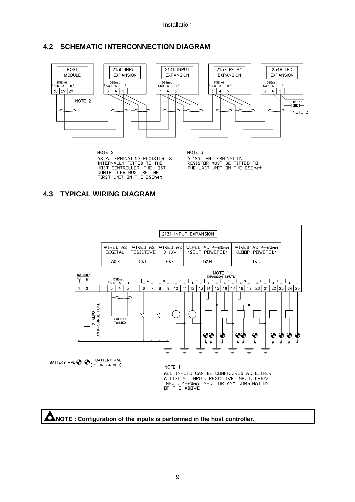#### **4.2 SCHEMATIC INTERCONNECTION DIAGRAM**



NOTE 2 AS A TERMINATING RESISTOR IS<br>INTERNALLY FITTED TO THE<br>HOST CONTROLLER, THE HOST<br>CONTROLLER MUST BE THE FIRST UNIT ON THE DSEnet

NOTE 3 A 120 DHM TERMINATION<br>RESISTOR MUST BE FITTED TO<br>THE LAST UNIT ON THE DSEnet

## **4.3 TYPICAL WIRING DIAGRAM**





**ANOTE : Configuration of the inputs is performed in the host controller.**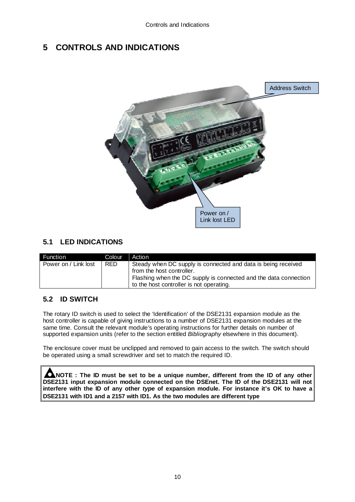## **5 CONTROLS AND INDICATIONS**



## **5.1 LED INDICATIONS**

| Function             | <b>Colour</b> | Action                                                           |  |
|----------------------|---------------|------------------------------------------------------------------|--|
| Power on / Link lost | <b>RED</b>    | Steady when DC supply is connected and data is being received    |  |
|                      |               | from the host controller.                                        |  |
|                      |               | Flashing when the DC supply is connected and the data connection |  |
|                      |               | to the host controller is not operating.                         |  |

## **5.2 ID SWITCH**

The rotary ID switch is used to select the 'Identification' of the DSE2131 expansion module as the host controller is capable of giving instructions to a number of DSE2131 expansion modules at the same time. Consult the relevant module's operating instructions for further details on number of supported expansion units (refer to the section entitled Bibliography elsewhere in this document).

The enclosure cover must be unclipped and removed to gain access to the switch. The switch should be operated using a small screwdriver and set to match the required ID.

**ANOTE : The ID must be set to be a unique number, different from the ID of any other DSE2131 input expansion module connected on the DSEnet. The ID of the DSE2131 will not interfere with the ID of any other type of expansion module. For instance it's OK to have a DSE2131 with ID1 and a 2157 with ID1. As the two modules are different type**